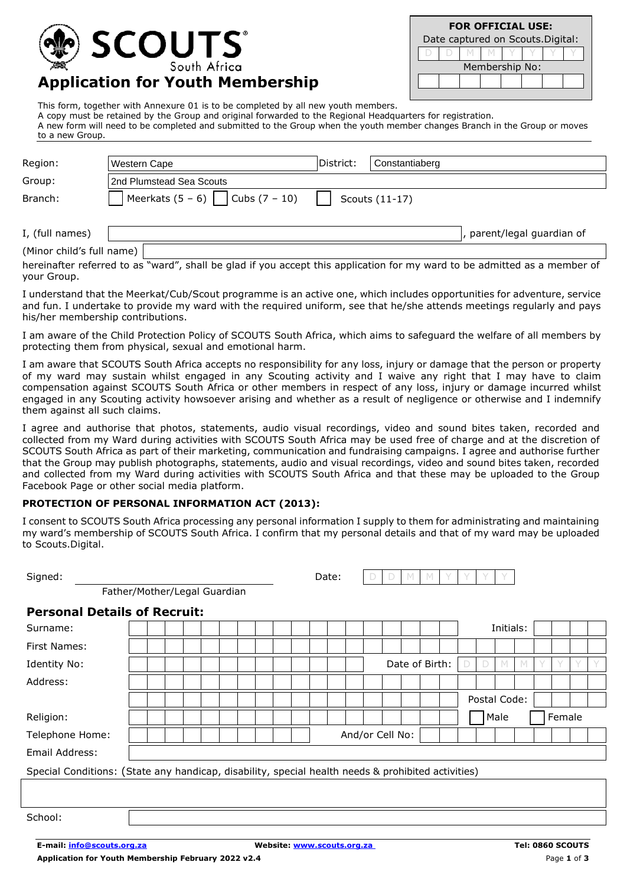

| <b>FOR OFFICIAL USE:</b>          |   |  |                |  |  |  |  |  |  |  |  |  |  |  |
|-----------------------------------|---|--|----------------|--|--|--|--|--|--|--|--|--|--|--|
| Date captured on Scouts. Digital: |   |  |                |  |  |  |  |  |  |  |  |  |  |  |
|                                   | V |  |                |  |  |  |  |  |  |  |  |  |  |  |
|                                   |   |  | Membership No: |  |  |  |  |  |  |  |  |  |  |  |
|                                   |   |  |                |  |  |  |  |  |  |  |  |  |  |  |
|                                   |   |  |                |  |  |  |  |  |  |  |  |  |  |  |

**Application for Youth Membership**

This form, together with Annexure 01 is to be completed by all new youth members. A copy must be retained by the Group and original forwarded to the Regional Headquarters for registration.

A new form will need to be completed and submitted to the Group when the youth member changes Branch in the Group or moves to a new Group.

| Region:                   | Western Cape                         | District: | Constantiaberg             |
|---------------------------|--------------------------------------|-----------|----------------------------|
| Group:                    | 2nd Plumstead Sea Scouts             |           |                            |
| Branch:                   | Meerkats $(5 - 6)$   Cubs $(7 - 10)$ |           | Scouts (11-17)             |
|                           |                                      |           |                            |
| I, (full names)           |                                      |           | , parent/legal guardian of |
| (Minor child's full name) |                                      |           |                            |

hereinafter referred to as "ward", shall be glad if you accept this application for my ward to be admitted as a member of your Group.

I understand that the Meerkat/Cub/Scout programme is an active one, which includes opportunities for adventure, service and fun. I undertake to provide my ward with the required uniform, see that he/she attends meetings regularly and pays his/her membership contributions.

I am aware of the Child Protection Policy of SCOUTS South Africa, which aims to safeguard the welfare of all members by protecting them from physical, sexual and emotional harm.

I am aware that SCOUTS South Africa accepts no responsibility for any loss, injury or damage that the person or property of my ward may sustain whilst engaged in any Scouting activity and I waive any right that I may have to claim compensation against SCOUTS South Africa or other members in respect of any loss, injury or damage incurred whilst engaged in any Scouting activity howsoever arising and whether as a result of negligence or otherwise and I indemnify them against all such claims.

I agree and authorise that photos, statements, audio visual recordings, video and sound bites taken, recorded and collected from my Ward during activities with SCOUTS South Africa may be used free of charge and at the discretion of SCOUTS South Africa as part of their marketing, communication and fundraising campaigns. I agree and authorise further that the Group may publish photographs, statements, audio and visual recordings, video and sound bites taken, recorded and collected from my Ward during activities with SCOUTS South Africa and that these may be uploaded to the Group Facebook Page or other social media platform.

#### **PROTECTION OF PERSONAL INFORMATION ACT (2013):**

I consent to SCOUTS South Africa processing any personal information I supply to them for administrating and maintaining my ward's membership of SCOUTS South Africa. I confirm that my personal details and that of my ward may be uploaded to Scouts Digital

| io ocoaco.pigitai.                                                                                 |  |  |  |  |  |       |                 |   |   |   |                |  |   |              |  |        |  |
|----------------------------------------------------------------------------------------------------|--|--|--|--|--|-------|-----------------|---|---|---|----------------|--|---|--------------|--|--------|--|
| Signed:                                                                                            |  |  |  |  |  | Date: |                 | Ð | D | M | M              |  |   |              |  |        |  |
| Father/Mother/Legal Guardian                                                                       |  |  |  |  |  |       |                 |   |   |   |                |  |   |              |  |        |  |
| <b>Personal Details of Recruit:</b>                                                                |  |  |  |  |  |       |                 |   |   |   |                |  |   |              |  |        |  |
| Surname:                                                                                           |  |  |  |  |  |       |                 |   |   |   |                |  |   | Initials:    |  |        |  |
| <b>First Names:</b>                                                                                |  |  |  |  |  |       |                 |   |   |   |                |  |   |              |  |        |  |
| Identity No:                                                                                       |  |  |  |  |  |       |                 |   |   |   | Date of Birth: |  | D |              |  |        |  |
| Address:                                                                                           |  |  |  |  |  |       |                 |   |   |   |                |  |   |              |  |        |  |
|                                                                                                    |  |  |  |  |  |       |                 |   |   |   |                |  |   | Postal Code: |  |        |  |
| Religion:                                                                                          |  |  |  |  |  |       |                 |   |   |   |                |  |   | Male         |  | Female |  |
| Telephone Home:                                                                                    |  |  |  |  |  |       | And/or Cell No: |   |   |   |                |  |   |              |  |        |  |
| Email Address:                                                                                     |  |  |  |  |  |       |                 |   |   |   |                |  |   |              |  |        |  |
| Special Conditions: (State any handicap, disability, special health needs & prohibited activities) |  |  |  |  |  |       |                 |   |   |   |                |  |   |              |  |        |  |
|                                                                                                    |  |  |  |  |  |       |                 |   |   |   |                |  |   |              |  |        |  |
|                                                                                                    |  |  |  |  |  |       |                 |   |   |   |                |  |   |              |  |        |  |
| School:                                                                                            |  |  |  |  |  |       |                 |   |   |   |                |  |   |              |  |        |  |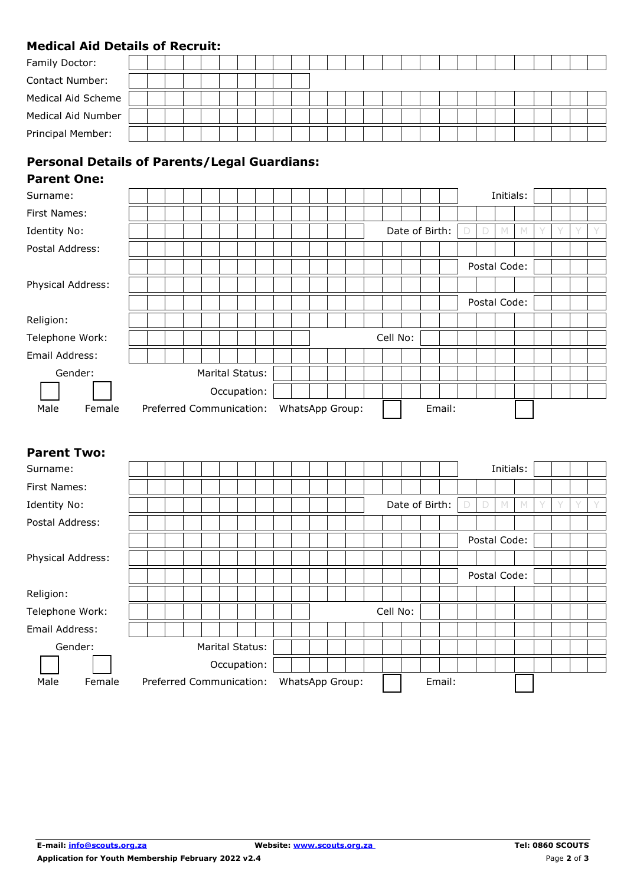### **Medical Aid Details of Recruit:**

# **Personal Details of Parents/Legal Guardians:**

### **Parent One:**

| Surname:          |                          |                 |             |  |                 |  |  |          |                |        |        |              | Initials: |  |  |  |
|-------------------|--------------------------|-----------------|-------------|--|-----------------|--|--|----------|----------------|--------|--------|--------------|-----------|--|--|--|
| First Names:      |                          |                 |             |  |                 |  |  |          |                |        |        |              |           |  |  |  |
| Identity No:      |                          |                 |             |  |                 |  |  |          | Date of Birth: |        | $\Box$ | D            |           |  |  |  |
| Postal Address:   |                          |                 |             |  |                 |  |  |          |                |        |        |              |           |  |  |  |
|                   |                          |                 |             |  |                 |  |  |          |                |        |        | Postal Code: |           |  |  |  |
| Physical Address: |                          |                 |             |  |                 |  |  |          |                |        |        |              |           |  |  |  |
|                   |                          |                 |             |  |                 |  |  |          |                |        |        | Postal Code: |           |  |  |  |
| Religion:         |                          |                 |             |  |                 |  |  |          |                |        |        |              |           |  |  |  |
| Telephone Work:   |                          |                 |             |  |                 |  |  | Cell No: |                |        |        |              |           |  |  |  |
| Email Address:    |                          |                 |             |  |                 |  |  |          |                |        |        |              |           |  |  |  |
| Gender:           |                          | Marital Status: |             |  |                 |  |  |          |                |        |        |              |           |  |  |  |
|                   |                          |                 | Occupation: |  |                 |  |  |          |                |        |        |              |           |  |  |  |
| Male<br>Female    | Preferred Communication: |                 |             |  | WhatsApp Group: |  |  |          |                | Email: |        |              |           |  |  |  |

## **Parent Two:**

| Surname:          |        |  |  |  |                          |  |  |                 |          |                |        |        |              | Initials: |   |  |  |
|-------------------|--------|--|--|--|--------------------------|--|--|-----------------|----------|----------------|--------|--------|--------------|-----------|---|--|--|
| First Names:      |        |  |  |  |                          |  |  |                 |          |                |        |        |              |           |   |  |  |
| Identity No:      |        |  |  |  |                          |  |  |                 |          | Date of Birth: |        | $\Box$ | D            | M         | M |  |  |
| Postal Address:   |        |  |  |  |                          |  |  |                 |          |                |        |        |              |           |   |  |  |
|                   |        |  |  |  |                          |  |  |                 |          |                |        |        | Postal Code: |           |   |  |  |
| Physical Address: |        |  |  |  |                          |  |  |                 |          |                |        |        |              |           |   |  |  |
|                   |        |  |  |  |                          |  |  |                 |          |                |        |        | Postal Code: |           |   |  |  |
| Religion:         |        |  |  |  |                          |  |  |                 |          |                |        |        |              |           |   |  |  |
| Telephone Work:   |        |  |  |  |                          |  |  |                 | Cell No: |                |        |        |              |           |   |  |  |
| Email Address:    |        |  |  |  |                          |  |  |                 |          |                |        |        |              |           |   |  |  |
| Gender:           |        |  |  |  | Marital Status:          |  |  |                 |          |                |        |        |              |           |   |  |  |
|                   |        |  |  |  | Occupation:              |  |  |                 |          |                |        |        |              |           |   |  |  |
| Male              | Female |  |  |  | Preferred Communication: |  |  | WhatsApp Group: |          |                | Email: |        |              |           |   |  |  |